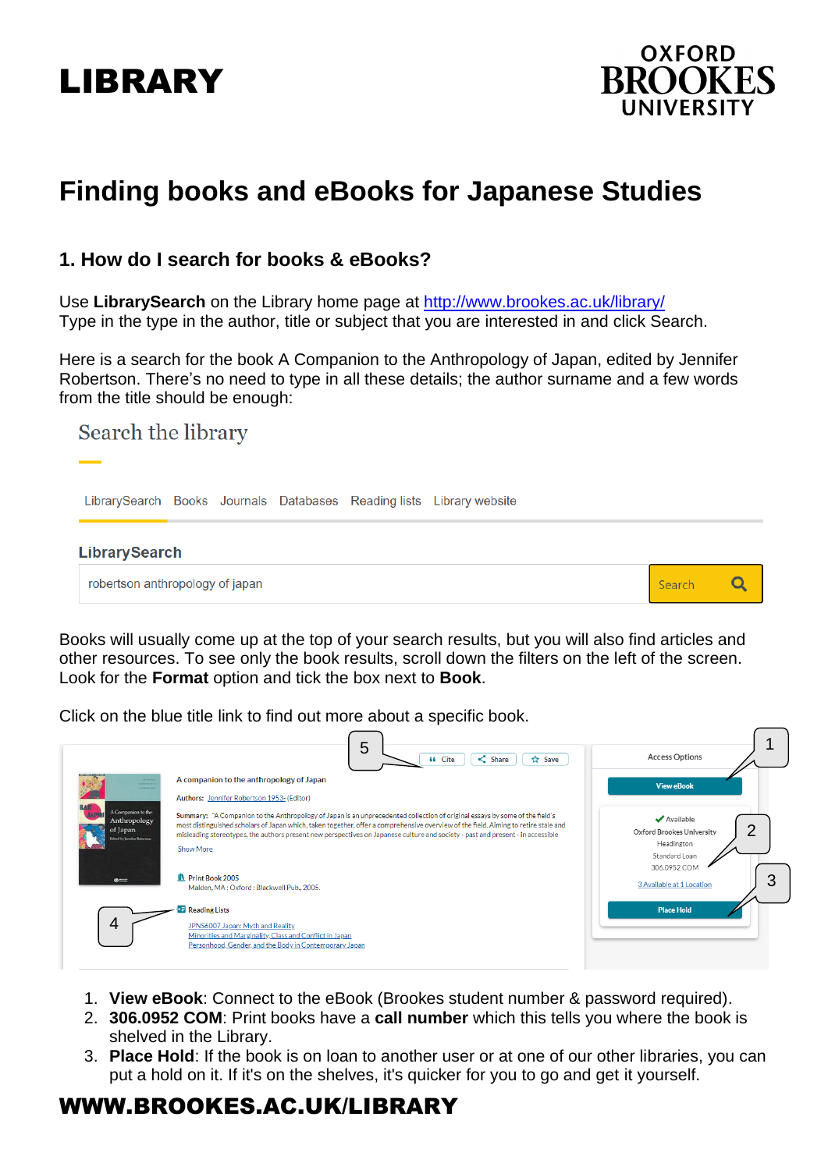# LIBRARY



## **Finding books and eBooks for Japanese Studies**

### **1. How do I search for books & eBooks?**

Use **LibrarySearch** on the Library home page at<http://www.brookes.ac.uk/library/> Type in the type in the author, title or subject that you are interested in and click Search.

Here is a search for the book A Companion to the Anthropology of Japan, edited by Jennifer Robertson. There's no need to type in all these details; the author surname and a few words from the title should be enough:

## Search the library LibrarySearch Books Journals Databases Reading lists Library website **LibrarySearch** robertson anthropology of japan Search  $\overline{Q}$

Books will usually come up at the top of your search results, but you will also find articles and other resources. To see only the book results, scroll down the filters on the left of the screen. Look for the **Format** option and tick the box next to **Book**.

Click on the blue title link to find out more about a specific book.

|                                                                                | 5<br>$\leq$ Share<br><b>☆ Save</b><br><b>44</b> Cite                                                                                                                                                                                                                                                                                                                                                                                     | <b>Access Options</b>                                                                        |
|--------------------------------------------------------------------------------|------------------------------------------------------------------------------------------------------------------------------------------------------------------------------------------------------------------------------------------------------------------------------------------------------------------------------------------------------------------------------------------------------------------------------------------|----------------------------------------------------------------------------------------------|
|                                                                                | A companion to the anthropology of Japan<br>Authors: Jennifer Robertson 1953- (Editor)                                                                                                                                                                                                                                                                                                                                                   | <b>View eBook</b>                                                                            |
| A Companion to the<br>Anthropology<br>of Japan<br>fined by Jerevifer Robertson | Summary: "A Companion to the Anthropology of Japan is an unprecedented collection of original essays by some of the field's<br>most distinguished scholars of Japan which, taken together, offer a comprehensive overview of the field. Aiming to retire stale and<br>misleading stereotypes, the authors present new perspectives on Japanese culture and society - past and present - in accessible<br>Show More<br>IN Print Book 2005 | ✔ Available<br>ŋ<br>Oxford Brookes University<br>Headington<br>Standard Loan<br>306.0952 COM |
| $\omega =$                                                                     | Malden, MA; Oxford: Blackwell Pub., 2005.                                                                                                                                                                                                                                                                                                                                                                                                | 3<br>3 Available at 1 Location                                                               |
| 4                                                                              | <b>Reading Lists</b><br>JPNS6007 Japan: Myth and Reality<br>Minorities and Marginality, Class and Conflict in Japan<br>Personhood, Gender, and the Body in Contemporary Japan                                                                                                                                                                                                                                                            | <b>Place Hold</b>                                                                            |

- 1. **View eBook**: Connect to the eBook (Brookes student number & password required).
- 2. **306.0952 COM**: Print books have a **call number** which this tells you where the book is shelved in the Library.
- 3. **Place Hold**: If the book is on loan to another user or at one of our other libraries, you can put a hold on it. If it's on the shelves, it's quicker for you to go and get it yourself.

## WWW.BROOKES.AC.UK/LIBRARY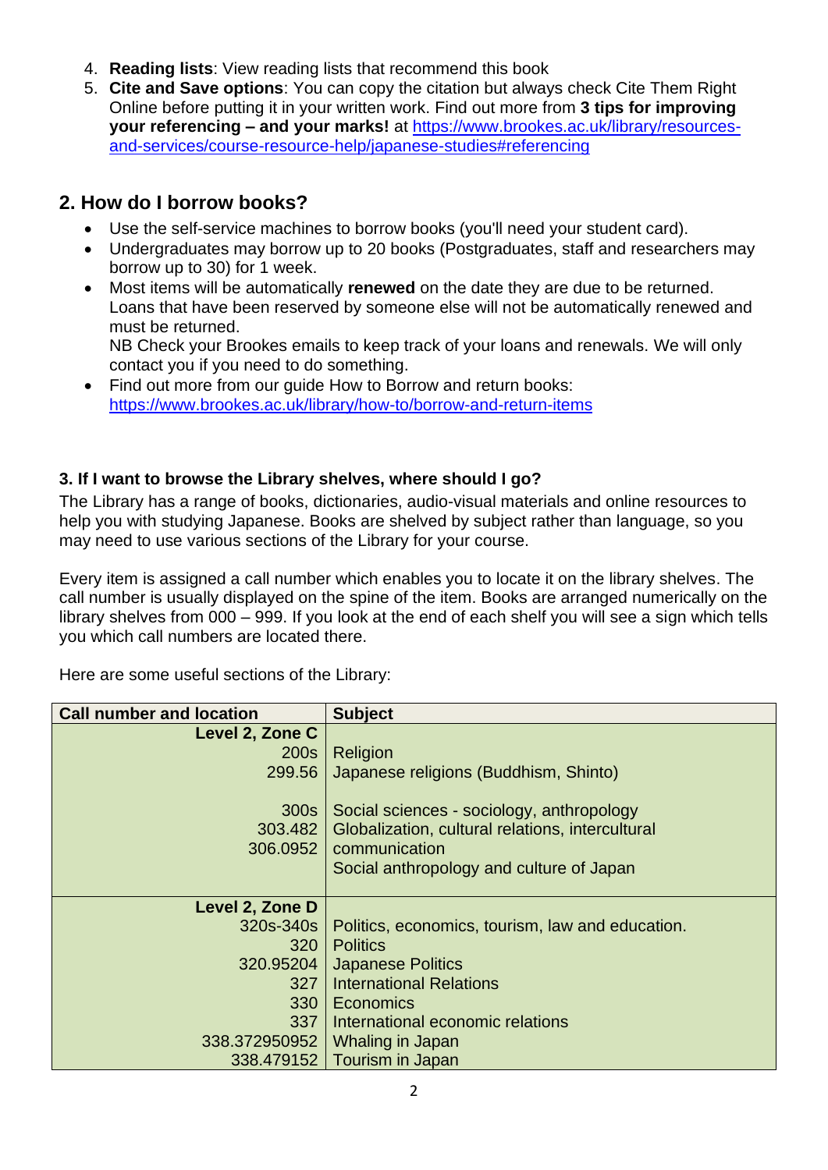- 4. **Reading lists**: View reading lists that recommend this book
- 5. **Cite and Save options**: You can copy the citation but always check Cite Them Right Online before putting it in your written work. Find out more from **3 tips for improving your referencing – and your marks!** at [https://www.brookes.ac.uk/library/resources](https://www.brookes.ac.uk/library/resources-and-services/course-resource-help/japanese-studies#referencing)[and-services/course-resource-help/japanese-studies#referencing](https://www.brookes.ac.uk/library/resources-and-services/course-resource-help/japanese-studies#referencing)

## **2. How do I borrow books?**

- Use the self-service machines to borrow books (you'll need your student card).
- Undergraduates may borrow up to 20 books (Postgraduates, staff and researchers may borrow up to 30) for 1 week.
- Most items will be automatically **renewed** on the date they are due to be returned. Loans that have been reserved by someone else will not be automatically renewed and must be returned. NB Check your Brookes emails to keep track of your loans and renewals. We will only contact you if you need to do something.
- Find out more from our guide How to Borrow and return books: <https://www.brookes.ac.uk/library/how-to/borrow-and-return-items>

#### **3. If I want to browse the Library shelves, where should I go?**

The Library has a range of books, dictionaries, audio-visual materials and online resources to help you with studying Japanese. Books are shelved by subject rather than language, so you may need to use various sections of the Library for your course.

Every item is assigned a call number which enables you to locate it on the library shelves. The call number is usually displayed on the spine of the item. Books are arranged numerically on the library shelves from 000 – 999. If you look at the end of each shelf you will see a sign which tells you which call numbers are located there.

Here are some useful sections of the Library:

| <b>Call number and location</b> | <b>Subject</b>                                   |  |
|---------------------------------|--------------------------------------------------|--|
| Level 2, Zone C                 |                                                  |  |
| 200s                            | Religion                                         |  |
| 299.56                          | Japanese religions (Buddhism, Shinto)            |  |
|                                 |                                                  |  |
| 300s                            | Social sciences - sociology, anthropology        |  |
| 303.482                         | Globalization, cultural relations, intercultural |  |
| 306.0952                        | communication                                    |  |
|                                 | Social anthropology and culture of Japan         |  |
|                                 |                                                  |  |
| Level 2, Zone D                 |                                                  |  |
| 320s-340s                       | Politics, economics, tourism, law and education. |  |
| 320                             | <b>Politics</b>                                  |  |
| 320.95204                       | <b>Japanese Politics</b>                         |  |
| 327                             | <b>International Relations</b>                   |  |
| 330                             | Economics                                        |  |
| 337                             | International economic relations                 |  |
| 338.372950952                   | Whaling in Japan                                 |  |
|                                 | 338.479152   Tourism in Japan                    |  |